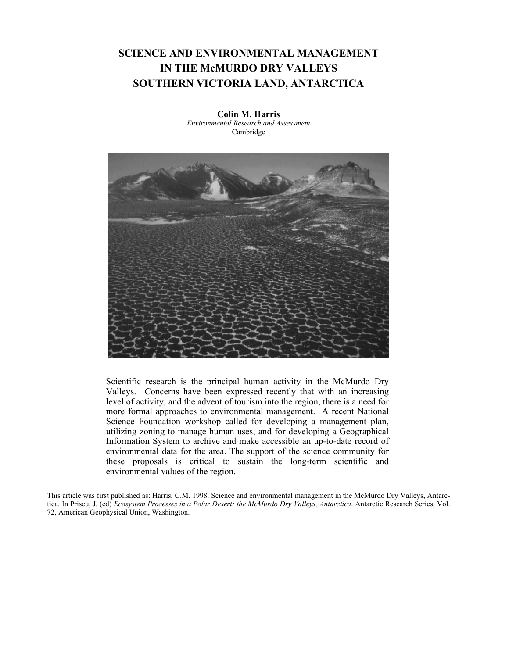# **SCIENCE AND ENVIRONMENTAL MANAGEMENT IN THE McMURDO DRY VALLEYS SOUTHERN VICTORIA LAND, ANTARCTICA**

**Colin M. Harris** *Environmental Research and Assessment* Cambridge



Scientific research is the principal human activity in the McMurdo Dry Valleys. Concerns have been expressed recently that with an increasing level of activity, and the advent of tourism into the region, there is a need for more formal approaches to environmental management. A recent National Science Foundation workshop called for developing a management plan, utilizing zoning to manage human uses, and for developing a Geographical Information System to archive and make accessible an up-to-date record of environmental data for the area. The support of the science community for these proposals is critical to sustain the long-term scientific and environmental values of the region.

This article was first published as: Harris, C.M. 1998. Science and environmental management in the McMurdo Dry Valleys, Antarctica. In Priscu, J. (ed) *Ecosystem Processes in a Polar Desert: the McMurdo Dry Valleys, Antarctica*. Antarctic Research Series, Vol. 72, American Geophysical Union, Washington.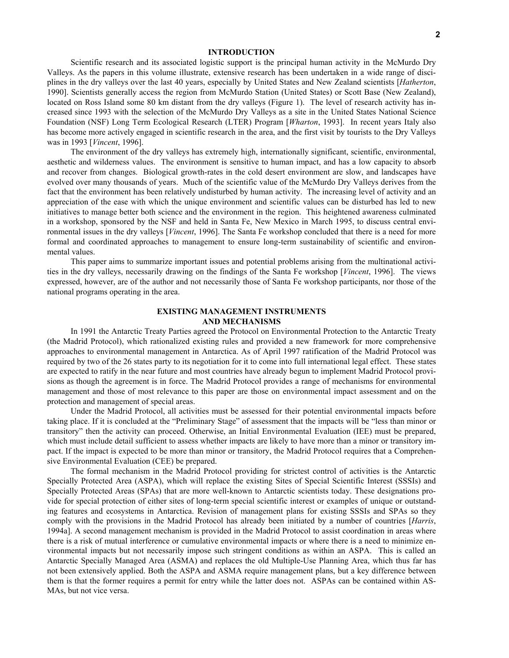#### **INTRODUCTION**

Scientific research and its associated logistic support is the principal human activity in the McMurdo Dry Valleys. As the papers in this volume illustrate, extensive research has been undertaken in a wide range of disciplines in the dry valleys over the last 40 years, especially by United States and New Zealand scientists [*Hatherton*, 1990]. Scientists generally access the region from McMurdo Station (United States) or Scott Base (New Zealand), located on Ross Island some 80 km distant from the dry valleys (Figure 1). The level of research activity has increased since 1993 with the selection of the McMurdo Dry Valleys as a site in the United States National Science Foundation (NSF) Long Term Ecological Research (LTER) Program [*Wharton*, 1993]. In recent years Italy also has become more actively engaged in scientific research in the area, and the first visit by tourists to the Dry Valleys was in 1993 [*Vincent*, 1996].

The environment of the dry valleys has extremely high, internationally significant, scientific, environmental, aesthetic and wilderness values. The environment is sensitive to human impact, and has a low capacity to absorb and recover from changes. Biological growth-rates in the cold desert environment are slow, and landscapes have evolved over many thousands of years. Much of the scientific value of the McMurdo Dry Valleys derives from the fact that the environment has been relatively undisturbed by human activity. The increasing level of activity and an appreciation of the ease with which the unique environment and scientific values can be disturbed has led to new initiatives to manage better both science and the environment in the region. This heightened awareness culminated in a workshop, sponsored by the NSF and held in Santa Fe, New Mexico in March 1995, to discuss central environmental issues in the dry valleys [*Vincent*, 1996]. The Santa Fe workshop concluded that there is a need for more formal and coordinated approaches to management to ensure long-term sustainability of scientific and environmental values.

This paper aims to summarize important issues and potential problems arising from the multinational activities in the dry valleys, necessarily drawing on the findings of the Santa Fe workshop [*Vincent*, 1996]. The views expressed, however, are of the author and not necessarily those of Santa Fe workshop participants, nor those of the national programs operating in the area.

# **EXISTING MANAGEMENT INSTRUMENTS AND MECHANISMS**

In 1991 the Antarctic Treaty Parties agreed the Protocol on Environmental Protection to the Antarctic Treaty (the Madrid Protocol), which rationalized existing rules and provided a new framework for more comprehensive approaches to environmental management in Antarctica. As of April 1997 ratification of the Madrid Protocol was required by two of the 26 states party to its negotiation for it to come into full international legal effect. These states are expected to ratify in the near future and most countries have already begun to implement Madrid Protocol provisions as though the agreement is in force. The Madrid Protocol provides a range of mechanisms for environmental management and those of most relevance to this paper are those on environmental impact assessment and on the protection and management of special areas.

Under the Madrid Protocol, all activities must be assessed for their potential environmental impacts before taking place. If it is concluded at the "Preliminary Stage" of assessment that the impacts will be "less than minor or transitory" then the activity can proceed. Otherwise, an Initial Environmental Evaluation (IEE) must be prepared, which must include detail sufficient to assess whether impacts are likely to have more than a minor or transitory impact. If the impact is expected to be more than minor or transitory, the Madrid Protocol requires that a Comprehensive Environmental Evaluation (CEE) be prepared.

The formal mechanism in the Madrid Protocol providing for strictest control of activities is the Antarctic Specially Protected Area (ASPA), which will replace the existing Sites of Special Scientific Interest (SSSIs) and Specially Protected Areas (SPAs) that are more well-known to Antarctic scientists today. These designations provide for special protection of either sites of long-term special scientific interest or examples of unique or outstanding features and ecosystems in Antarctica. Revision of management plans for existing SSSIs and SPAs so they comply with the provisions in the Madrid Protocol has already been initiated by a number of countries [*Harris*, 1994a]. A second management mechanism is provided in the Madrid Protocol to assist coordination in areas where there is a risk of mutual interference or cumulative environmental impacts or where there is a need to minimize environmental impacts but not necessarily impose such stringent conditions as within an ASPA. This is called an Antarctic Specially Managed Area (ASMA) and replaces the old Multiple-Use Planning Area, which thus far has not been extensively applied. Both the ASPA and ASMA require management plans, but a key difference between them is that the former requires a permit for entry while the latter does not. ASPAs can be contained within AS-MAs, but not vice versa.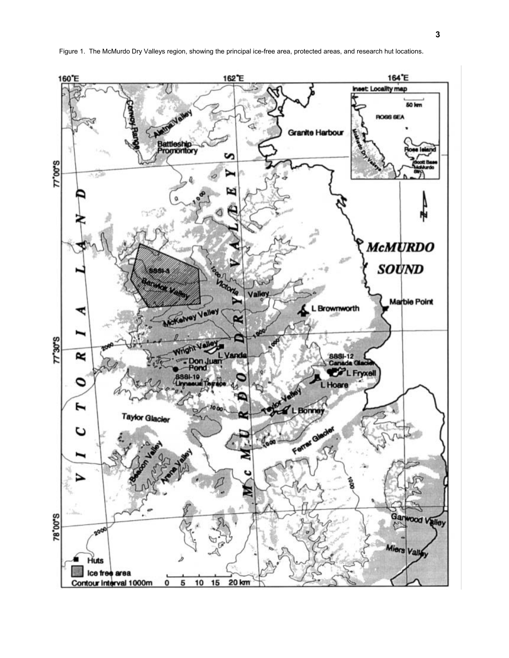

Figure 1. The McMurdo Dry Valleys region, showing the principal ice-free area, protected areas, and research hut locations.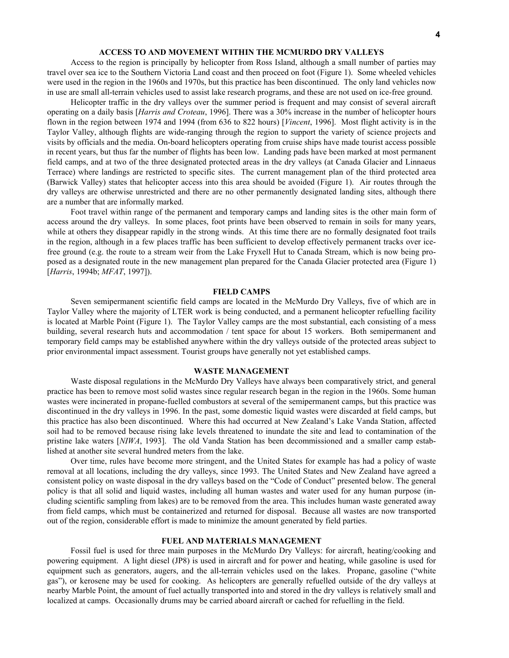## **ACCESS TO AND MOVEMENT WITHIN THE MCMURDO DRY VALLEYS**

Access to the region is principally by helicopter from Ross Island, although a small number of parties may travel over sea ice to the Southern Victoria Land coast and then proceed on foot (Figure 1). Some wheeled vehicles were used in the region in the 1960s and 1970s, but this practice has been discontinued. The only land vehicles now in use are small all-terrain vehicles used to assist lake research programs, and these are not used on ice-free ground.

Helicopter traffic in the dry valleys over the summer period is frequent and may consist of several aircraft operating on a daily basis [*Harris and Croteau*, 1996]. There was a 30% increase in the number of helicopter hours flown in the region between 1974 and 1994 (from 636 to 822 hours) [*Vincent*, 1996]. Most flight activity is in the Taylor Valley, although flights are wide-ranging through the region to support the variety of science projects and visits by officials and the media. On-board helicopters operating from cruise ships have made tourist access possible in recent years, but thus far the number of flights has been low. Landing pads have been marked at most permanent field camps, and at two of the three designated protected areas in the dry valleys (at Canada Glacier and Linnaeus Terrace) where landings are restricted to specific sites. The current management plan of the third protected area (Barwick Valley) states that helicopter access into this area should be avoided (Figure 1). Air routes through the dry valleys are otherwise unrestricted and there are no other permanently designated landing sites, although there are a number that are informally marked.

Foot travel within range of the permanent and temporary camps and landing sites is the other main form of access around the dry valleys. In some places, foot prints have been observed to remain in soils for many years, while at others they disappear rapidly in the strong winds. At this time there are no formally designated foot trails in the region, although in a few places traffic has been sufficient to develop effectively permanent tracks over icefree ground (e.g. the route to a stream weir from the Lake Fryxell Hut to Canada Stream, which is now being proposed as a designated route in the new management plan prepared for the Canada Glacier protected area (Figure 1) [*Harris*, 1994b; *MFAT*, 1997]).

#### **FIELD CAMPS**

Seven semipermanent scientific field camps are located in the McMurdo Dry Valleys, five of which are in Taylor Valley where the majority of LTER work is being conducted, and a permanent helicopter refuelling facility is located at Marble Point (Figure 1). The Taylor Valley camps are the most substantial, each consisting of a mess building, several research huts and accommodation / tent space for about 15 workers. Both semipermanent and temporary field camps may be established anywhere within the dry valleys outside of the protected areas subject to prior environmental impact assessment. Tourist groups have generally not yet established camps.

## **WASTE MANAGEMENT**

Waste disposal regulations in the McMurdo Dry Valleys have always been comparatively strict, and general practice has been to remove most solid wastes since regular research began in the region in the 1960s. Some human wastes were incinerated in propane-fuelled combustors at several of the semipermanent camps, but this practice was discontinued in the dry valleys in 1996. In the past, some domestic liquid wastes were discarded at field camps, but this practice has also been discontinued. Where this had occurred at New Zealand's Lake Vanda Station, affected soil had to be removed because rising lake levels threatened to inundate the site and lead to contamination of the pristine lake waters [*NIWA*, 1993]. The old Vanda Station has been decommissioned and a smaller camp established at another site several hundred meters from the lake.

Over time, rules have become more stringent, and the United States for example has had a policy of waste removal at all locations, including the dry valleys, since 1993. The United States and New Zealand have agreed a consistent policy on waste disposal in the dry valleys based on the "Code of Conduct" presented below. The general policy is that all solid and liquid wastes, including all human wastes and water used for any human purpose (including scientific sampling from lakes) are to be removed from the area. This includes human waste generated away from field camps, which must be containerized and returned for disposal. Because all wastes are now transported out of the region, considerable effort is made to minimize the amount generated by field parties.

# **FUEL AND MATERIALS MANAGEMENT**

Fossil fuel is used for three main purposes in the McMurdo Dry Valleys: for aircraft, heating/cooking and powering equipment. A light diesel (JP8) is used in aircraft and for power and heating, while gasoline is used for equipment such as generators, augers, and the all-terrain vehicles used on the lakes. Propane, gasoline ("white gas"), or kerosene may be used for cooking. As helicopters are generally refuelled outside of the dry valleys at nearby Marble Point, the amount of fuel actually transported into and stored in the dry valleys is relatively small and localized at camps. Occasionally drums may be carried aboard aircraft or cached for refuelling in the field.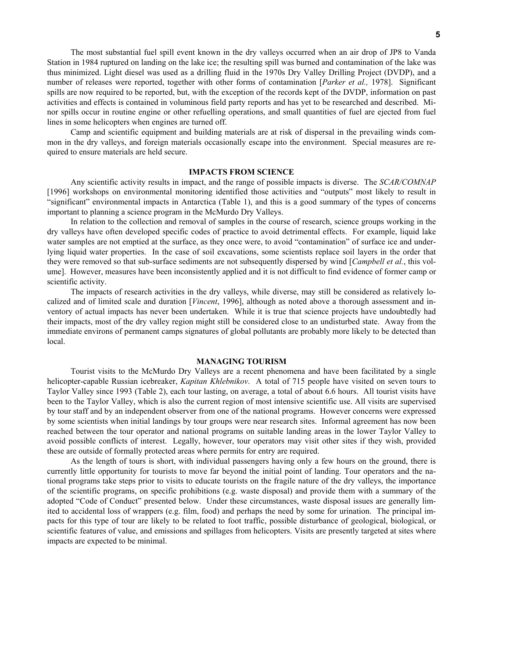The most substantial fuel spill event known in the dry valleys occurred when an air drop of JP8 to Vanda Station in 1984 ruptured on landing on the lake ice; the resulting spill was burned and contamination of the lake was thus minimized. Light diesel was used as a drilling fluid in the 1970s Dry Valley Drilling Project (DVDP), and a number of releases were reported, together with other forms of contamination [*Parker et al.,* 1978]. Significant spills are now required to be reported, but, with the exception of the records kept of the DVDP, information on past activities and effects is contained in voluminous field party reports and has yet to be researched and described. Minor spills occur in routine engine or other refuelling operations, and small quantities of fuel are ejected from fuel lines in some helicopters when engines are turned off.

Camp and scientific equipment and building materials are at risk of dispersal in the prevailing winds common in the dry valleys, and foreign materials occasionally escape into the environment. Special measures are required to ensure materials are held secure.

#### **IMPACTS FROM SCIENCE**

Any scientific activity results in impact, and the range of possible impacts is diverse. The *SCAR/COMNAP* [1996] workshops on environmental monitoring identified those activities and "outputs" most likely to result in "significant" environmental impacts in Antarctica (Table 1), and this is a good summary of the types of concerns important to planning a science program in the McMurdo Dry Valleys.

In relation to the collection and removal of samples in the course of research, science groups working in the dry valleys have often developed specific codes of practice to avoid detrimental effects. For example, liquid lake water samples are not emptied at the surface, as they once were, to avoid "contamination" of surface ice and underlying liquid water properties. In the case of soil excavations, some scientists replace soil layers in the order that they were removed so that sub-surface sediments are not subsequently dispersed by wind [*Campbell et al.*, this volume]. However, measures have been inconsistently applied and it is not difficult to find evidence of former camp or scientific activity.

The impacts of research activities in the dry valleys, while diverse, may still be considered as relatively localized and of limited scale and duration [*Vincent*, 1996], although as noted above a thorough assessment and inventory of actual impacts has never been undertaken. While it is true that science projects have undoubtedly had their impacts, most of the dry valley region might still be considered close to an undisturbed state. Away from the immediate environs of permanent camps signatures of global pollutants are probably more likely to be detected than local.

## **MANAGING TOURISM**

Tourist visits to the McMurdo Dry Valleys are a recent phenomena and have been facilitated by a single helicopter-capable Russian icebreaker, *Kapitan Khlebnikov*. A total of 715 people have visited on seven tours to Taylor Valley since 1993 (Table 2), each tour lasting, on average, a total of about 6.6 hours. All tourist visits have been to the Taylor Valley, which is also the current region of most intensive scientific use. All visits are supervised by tour staff and by an independent observer from one of the national programs. However concerns were expressed by some scientists when initial landings by tour groups were near research sites. Informal agreement has now been reached between the tour operator and national programs on suitable landing areas in the lower Taylor Valley to avoid possible conflicts of interest. Legally, however, tour operators may visit other sites if they wish, provided these are outside of formally protected areas where permits for entry are required.

As the length of tours is short, with individual passengers having only a few hours on the ground, there is currently little opportunity for tourists to move far beyond the initial point of landing. Tour operators and the national programs take steps prior to visits to educate tourists on the fragile nature of the dry valleys, the importance of the scientific programs, on specific prohibitions (e.g. waste disposal) and provide them with a summary of the adopted "Code of Conduct" presented below. Under these circumstances, waste disposal issues are generally limited to accidental loss of wrappers (e.g. film, food) and perhaps the need by some for urination. The principal impacts for this type of tour are likely to be related to foot traffic, possible disturbance of geological, biological, or scientific features of value, and emissions and spillages from helicopters. Visits are presently targeted at sites where impacts are expected to be minimal.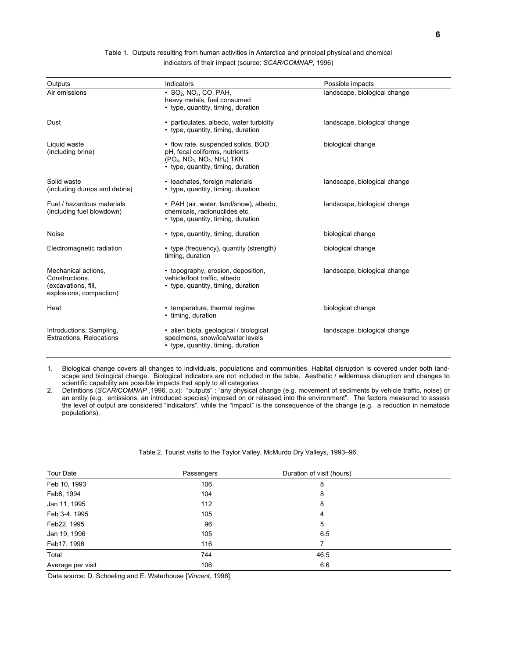| Outputs                                                                                 | Indicators                                                                                                                                                | Possible impacts             |
|-----------------------------------------------------------------------------------------|-----------------------------------------------------------------------------------------------------------------------------------------------------------|------------------------------|
| Air emissions                                                                           | $\cdot$ SO <sub>2</sub> , NO <sub>x</sub> , CO, PAH,<br>landscape, biological change<br>heavy metals, fuel consumed<br>• type, quantity, timing, duration |                              |
| Dust                                                                                    | • particulates, albedo, water turbidity<br>• type, quantity, timing, duration                                                                             | landscape, biological change |
| Liquid waste<br>(including brine)                                                       | • flow rate, suspended solids, BOD<br>pH, fecal coliforms, nutrients<br>$(PO4, NO3, NO2, NH4)$ TKN<br>• type, quantity, timing, duration                  | biological change            |
| Solid waste<br>(including dumps and debris)                                             | • leachates, foreign materials<br>• type, quantity, timing, duration                                                                                      | landscape, biological change |
| Fuel / hazardous materials<br>(including fuel blowdown)                                 | • PAH (air, water, land/snow), albedo,<br>chemicals, radionuclides etc.<br>• type, quantity, timing, duration                                             | landscape, biological change |
| Noise                                                                                   | • type, quantity, timing, duration                                                                                                                        | biological change            |
| Electromagnetic radiation                                                               | • type (frequency), quantity (strength)<br>timing, duration                                                                                               | biological change            |
| Mechanical actions.<br>Constructions,<br>(excavations, fill,<br>explosions, compaction) | • topography, erosion, deposition,<br>vehicle/foot traffic, albedo<br>• type, quantity, timing, duration                                                  | landscape, biological change |
| Heat                                                                                    | • temperature, thermal regime<br>• timing, duration                                                                                                       | biological change            |
| Introductions, Sampling,<br><b>Extractions, Relocations</b>                             | · alien biota, geological / biological<br>specimens, snow/ice/water levels<br>• type, quantity, timing, duration                                          | landscape, biological change |

Table 1. Outputs resulting from human activities in Antarctica and principal physical and chemical indicators of their impact (source: *SCAR/COMNAP*, 1996)

1. Biological change covers all changes to individuals, populations and communities. Habitat disruption is covered under both landscape and biological change. Biological indicators are not included in the table. Aesthetic / wilderness disruption and changes to scientific capability are possible impacts that apply to all categories

2. Definitions (*SCAR/COMNAP* ,1996, p.*x*): "outputs" : "any physical change (e.g. movement of sediments by vehicle traffic, noise) or an entity (e.g. emissions, an introduced species) imposed on or released into the environment". The factors measured to assess the level of output are considered "indicators", while the "impact" is the consequence of the change (e.g. a reduction in nematode populations).

## Table 2. Tourist visits to the Taylor Valley, McMurdo Dry Valleys, 1993–96.

| <b>Tour Date</b>  | Passengers | Duration of visit (hours) |  |
|-------------------|------------|---------------------------|--|
| Feb 10, 1993      | 106        | 8                         |  |
| Feb8, 1994        | 104        | 8                         |  |
| Jan 11, 1995      | 112        | 8                         |  |
| Feb 3-4, 1995     | 105        | 4                         |  |
| Feb22, 1995       | 96         | 5                         |  |
| Jan 19, 1996      | 105        | 6.5                       |  |
| Feb17, 1996       | 116        | 7                         |  |
| Total             | 744        | 46.5                      |  |
| Average per visit | 106        | 6.6                       |  |

Data source: D. Schoeling and E. Waterhouse [*Vincent*, 1996].

 $\overline{\phantom{a}}$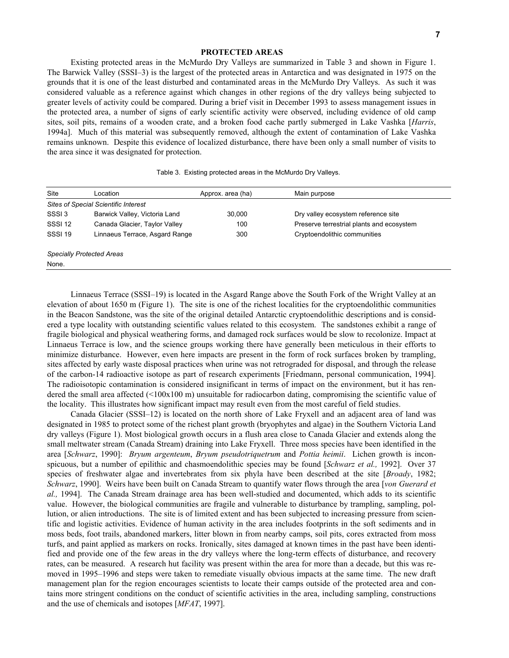## **PROTECTED AREAS**

Existing protected areas in the McMurdo Dry Valleys are summarized in Table 3 and shown in Figure 1. The Barwick Valley (SSSI–3) is the largest of the protected areas in Antarctica and was designated in 1975 on the grounds that it is one of the least disturbed and contaminated areas in the McMurdo Dry Valleys. As such it was considered valuable as a reference against which changes in other regions of the dry valleys being subjected to greater levels of activity could be compared. During a brief visit in December 1993 to assess management issues in the protected area, a number of signs of early scientific activity were observed, including evidence of old camp sites, soil pits, remains of a wooden crate, and a broken food cache partly submerged in Lake Vashka [*Harris*, 1994a]. Much of this material was subsequently removed, although the extent of contamination of Lake Vashka remains unknown. Despite this evidence of localized disturbance, there have been only a small number of visits to the area since it was designated for protection.

|  |  | Table 3. Existing protected areas in the McMurdo Dry Valleys. |  |
|--|--|---------------------------------------------------------------|--|
|  |  |                                                               |  |

| Site              | Location                                    | Approx. area (ha) | Main purpose                              |
|-------------------|---------------------------------------------|-------------------|-------------------------------------------|
|                   | <b>Sites of Special Scientific Interest</b> |                   |                                           |
| SSSI <sub>3</sub> | Barwick Valley, Victoria Land               | 30,000            | Dry valley ecosystem reference site       |
| <b>SSSI 12</b>    | Canada Glacier, Taylor Valley               | 100               | Preserve terrestrial plants and ecosystem |
| <b>SSSI 19</b>    | Linnaeus Terrace, Asgard Range              | 300               | Cryptoendolithic communities              |
|                   | <b>Specially Protected Areas</b>            |                   |                                           |
| None.             |                                             |                   |                                           |

Linnaeus Terrace (SSSI–19) is located in the Asgard Range above the South Fork of the Wright Valley at an elevation of about 1650 m (Figure 1). The site is one of the richest localities for the cryptoendolithic communities in the Beacon Sandstone, was the site of the original detailed Antarctic cryptoendolithic descriptions and is considered a type locality with outstanding scientific values related to this ecosystem. The sandstones exhibit a range of fragile biological and physical weathering forms, and damaged rock surfaces would be slow to recolonize. Impact at Linnaeus Terrace is low, and the science groups working there have generally been meticulous in their efforts to minimize disturbance. However, even here impacts are present in the form of rock surfaces broken by trampling, sites affected by early waste disposal practices when urine was not retrograded for disposal, and through the release of the carbon-14 radioactive isotope as part of research experiments [Friedmann, personal communication, 1994]. The radioisotopic contamination is considered insignificant in terms of impact on the environment, but it has rendered the small area affected (<100x100 m) unsuitable for radiocarbon dating, compromising the scientific value of the locality. This illustrates how significant impact may result even from the most careful of field studies.

Canada Glacier (SSSI–12) is located on the north shore of Lake Fryxell and an adjacent area of land was designated in 1985 to protect some of the richest plant growth (bryophytes and algae) in the Southern Victoria Land dry valleys (Figure 1). Most biological growth occurs in a flush area close to Canada Glacier and extends along the small meltwater stream (Canada Stream) draining into Lake Fryxell. Three moss species have been identified in the area [*Schwarz*, 1990]: *Bryum argenteum*, *Bryum pseudotriquetrum* and *Pottia heimii*. Lichen growth is inconspicuous, but a number of epilithic and chasmoendolithic species may be found [*Schwarz et al.,* 1992]. Over 37 species of freshwater algae and invertebrates from six phyla have been described at the site [*Broady*, 1982; *Schwarz*, 1990]. Weirs have been built on Canada Stream to quantify water flows through the area [*von Guerard et al.,* 1994]. The Canada Stream drainage area has been well-studied and documented, which adds to its scientific value. However, the biological communities are fragile and vulnerable to disturbance by trampling, sampling, pollution, or alien introductions. The site is of limited extent and has been subjected to increasing pressure from scientific and logistic activities. Evidence of human activity in the area includes footprints in the soft sediments and in moss beds, foot trails, abandoned markers, litter blown in from nearby camps, soil pits, cores extracted from moss turfs, and paint applied as markers on rocks. Ironically, sites damaged at known times in the past have been identified and provide one of the few areas in the dry valleys where the long-term effects of disturbance, and recovery rates, can be measured. A research hut facility was present within the area for more than a decade, but this was removed in 1995–1996 and steps were taken to remediate visually obvious impacts at the same time. The new draft management plan for the region encourages scientists to locate their camps outside of the protected area and contains more stringent conditions on the conduct of scientific activities in the area, including sampling, constructions and the use of chemicals and isotopes [*MFAT*, 1997].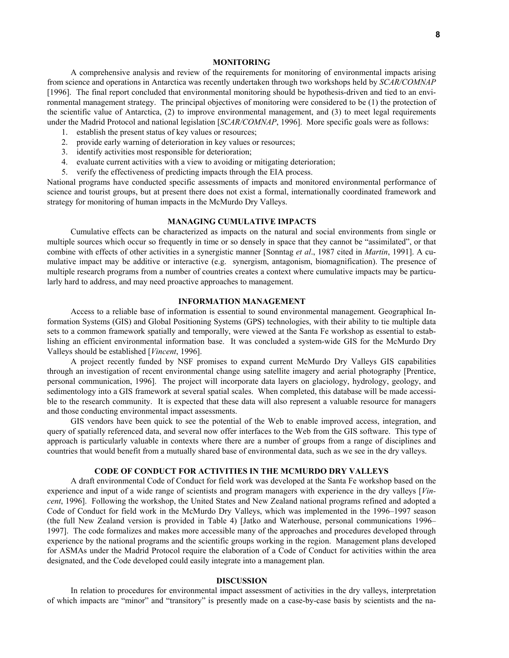### **MONITORING**

A comprehensive analysis and review of the requirements for monitoring of environmental impacts arising from science and operations in Antarctica was recently undertaken through two workshops held by *SCAR/COMNAP* [1996]. The final report concluded that environmental monitoring should be hypothesis-driven and tied to an environmental management strategy. The principal objectives of monitoring were considered to be (1) the protection of the scientific value of Antarctica, (2) to improve environmental management, and (3) to meet legal requirements under the Madrid Protocol and national legislation [*SCAR/COMNAP*, 1996]. More specific goals were as follows:

- 1. establish the present status of key values or resources;
- 2. provide early warning of deterioration in key values or resources;
- 3. identify activities most responsible for deterioration;
- 4. evaluate current activities with a view to avoiding or mitigating deterioration;
- 5. verify the effectiveness of predicting impacts through the EIA process.

National programs have conducted specific assessments of impacts and monitored environmental performance of science and tourist groups, but at present there does not exist a formal, internationally coordinated framework and strategy for monitoring of human impacts in the McMurdo Dry Valleys.

## **MANAGING CUMULATIVE IMPACTS**

Cumulative effects can be characterized as impacts on the natural and social environments from single or multiple sources which occur so frequently in time or so densely in space that they cannot be "assimilated", or that combine with effects of other activities in a synergistic manner [Sonntag *et al*., 1987 cited in *Martin*, 1991]. A cumulative impact may be additive or interactive (e.g. synergism, antagonism, biomagnification). The presence of multiple research programs from a number of countries creates a context where cumulative impacts may be particularly hard to address, and may need proactive approaches to management.

# **INFORMATION MANAGEMENT**

Access to a reliable base of information is essential to sound environmental management. Geographical Information Systems (GIS) and Global Positioning Systems (GPS) technologies, with their ability to tie multiple data sets to a common framework spatially and temporally, were viewed at the Santa Fe workshop as essential to establishing an efficient environmental information base. It was concluded a system-wide GIS for the McMurdo Dry Valleys should be established [*Vincent*, 1996].

A project recently funded by NSF promises to expand current McMurdo Dry Valleys GIS capabilities through an investigation of recent environmental change using satellite imagery and aerial photography [Prentice, personal communication, 1996]. The project will incorporate data layers on glaciology, hydrology, geology, and sedimentology into a GIS framework at several spatial scales. When completed, this database will be made accessible to the research community. It is expected that these data will also represent a valuable resource for managers and those conducting environmental impact assessments.

GIS vendors have been quick to see the potential of the Web to enable improved access, integration, and query of spatially referenced data, and several now offer interfaces to the Web from the GIS software. This type of approach is particularly valuable in contexts where there are a number of groups from a range of disciplines and countries that would benefit from a mutually shared base of environmental data, such as we see in the dry valleys.

# **CODE OF CONDUCT FOR ACTIVITIES IN THE MCMURDO DRY VALLEYS**

A draft environmental Code of Conduct for field work was developed at the Santa Fe workshop based on the experience and input of a wide range of scientists and program managers with experience in the dry valleys [*Vincent*, 1996]. Following the workshop, the United States and New Zealand national programs refined and adopted a Code of Conduct for field work in the McMurdo Dry Valleys, which was implemented in the 1996–1997 season (the full New Zealand version is provided in Table 4) [Jatko and Waterhouse, personal communications 1996– 1997]. The code formalizes and makes more accessible many of the approaches and procedures developed through experience by the national programs and the scientific groups working in the region. Management plans developed for ASMAs under the Madrid Protocol require the elaboration of a Code of Conduct for activities within the area designated, and the Code developed could easily integrate into a management plan.

## **DISCUSSION**

In relation to procedures for environmental impact assessment of activities in the dry valleys, interpretation of which impacts are "minor" and "transitory" is presently made on a case-by-case basis by scientists and the na-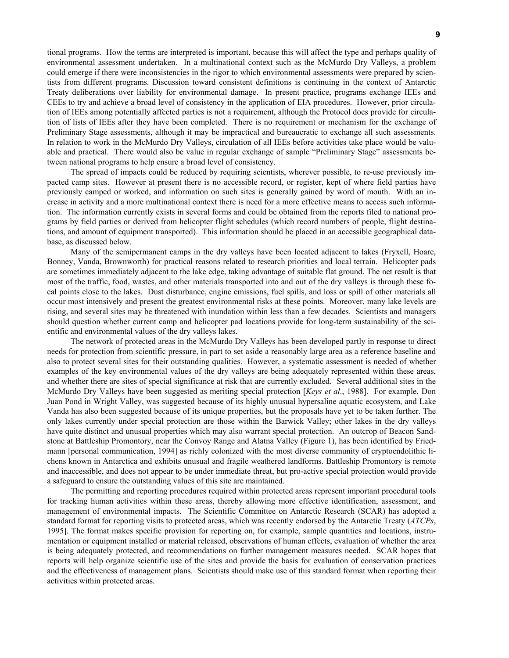tional programs. How the terms are interpreted is important, because this will affect the type and perhaps quality of environmental assessment undertaken. In a multinational context such as the McMurdo Dry Valleys, a problem could emerge if there were inconsistencies in the rigor to which environmental assessments were prepared by scientists from different programs. Discussion toward consistent definitions is continuing in the context of Antarctic Treaty deliberations over liability for environmental damage. In present practice, programs exchange IEEs and CEEs to try and achieve a broad level of consistency in the application of EIA procedures. However, prior circulation of IEEs among potentially affected parties is not a requirement, although the Protocol does provide for circulation of lists of IEEs after they have been completed. There is no requirement or mechanism for the exchange of Preliminary Stage assessments, although it may be impractical and bureaucratic to exchange all such assessments. In relation to work in the McMurdo Dry Valleys, circulation of all IEEs before activities take place would be valuable and practical. There would also be value in regular exchange of sample "Preliminary Stage" assessments between national programs to help ensure a broad level of consistency.

The spread of impacts could be reduced by requiring scientists, wherever possible, to re-use previously impacted camp sites. However at present there is no accessible record, or register, kept of where field parties have previously camped or worked, and information on such sites is generally gained by word of mouth. With an increase in activity and a more multinational context there is need for a more effective means to access such information. The information currently exists in several forms and could be obtained from the reports filed to national programs by field parties or derived from helicopter flight schedules (which record numbers of people, flight destinations, and amount of equipment transported). This information should be placed in an accessible geographical database, as discussed below.

Many of the semipermanent camps in the dry valleys have been located adjacent to lakes (Fryxell, Hoare, Bonney, Vanda, Brownworth) for practical reasons related to research priorities and local terrain. Helicopter pads are sometimes immediately adjacent to the lake edge, taking advantage of suitable flat ground. The net result is that most of the traffic, food, wastes, and other materials transported into and out of the dry valleys is through these focal points close to the lakes. Dust disturbance, engine emissions, fuel spills, and loss or spill of other materials all occur most intensively and present the greatest environmental risks at these points. Moreover, many lake levels are rising, and several sites may be threatened with inundation within less than a few decades. Scientists and managers should question whether current camp and helicopter pad locations provide for long-term sustainability of the scientific and environmental values of the dry valleys lakes.

The network of protected areas in the McMurdo Dry Valleys has been developed partly in response to direct needs for protection from scientific pressure, in part to set aside a reasonably large area as a reference baseline and also to protect several sites for their outstanding qualities. However, a systematic assessment is needed of whether examples of the key environmental values of the dry valleys are being adequately represented within these areas, and whether there are sites of special significance at risk that are currently excluded. Several additional sites in the McMurdo Dry Valleys have been suggested as meriting special protection [*Keys et al*., 1988]. For example, Don Juan Pond in Wright Valley, was suggested because of its highly unusual hypersaline aquatic ecosystem, and Lake Vanda has also been suggested because of its unique properties, but the proposals have yet to be taken further. The only lakes currently under special protection are those within the Barwick Valley; other lakes in the dry valleys have quite distinct and unusual properties which may also warrant special protection. An outcrop of Beacon Sandstone at Battleship Promontory, near the Convoy Range and Alatna Valley (Figure 1), has been identified by Friedmann [personal communication, 1994] as richly colonized with the most diverse community of cryptoendolithic lichens known in Antarctica and exhibits unusual and fragile weathered landforms. Battleship Promontory is remote and inaccessible, and does not appear to be under immediate threat, but pro-active special protection would provide a safeguard to ensure the outstanding values of this site are maintained.

The permitting and reporting procedures required within protected areas represent important procedural tools for tracking human activities within these areas, thereby allowing more effective identification, assessment, and management of environmental impacts. The Scientific Committee on Antarctic Research (SCAR) has adopted a standard format for reporting visits to protected areas, which was recently endorsed by the Antarctic Treaty (*ATCPs*, 1995]. The format makes specific provision for reporting on, for example, sample quantities and locations, instrumentation or equipment installed or material released, observations of human effects, evaluation of whether the area is being adequately protected, and recommendations on further management measures needed. SCAR hopes that reports will help organize scientific use of the sites and provide the basis for evaluation of conservation practices and the effectiveness of management plans. Scientists should make use of this standard format when reporting their activities within protected areas.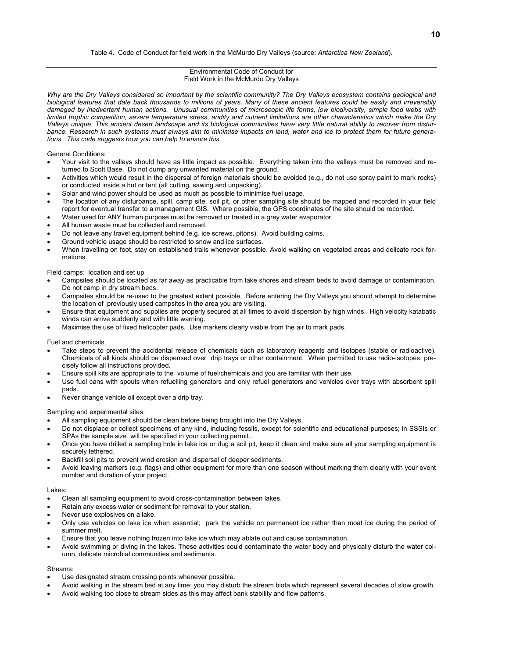#### Table 4. Code of Conduct for field work in the McMurdo Dry Valleys (source: *Antarctica New Zealand*).

| Environmental Code of Conduct for<br>Field Work in the McMurdo Dry Valleys                                                                                                                                                                                                                                                                                                                                                                                                                                                                                                                                                                                                                                                                                                                                                                                                                                                                                                                                                                                                                                                                                                                                                                                                                                                                                                        |
|-----------------------------------------------------------------------------------------------------------------------------------------------------------------------------------------------------------------------------------------------------------------------------------------------------------------------------------------------------------------------------------------------------------------------------------------------------------------------------------------------------------------------------------------------------------------------------------------------------------------------------------------------------------------------------------------------------------------------------------------------------------------------------------------------------------------------------------------------------------------------------------------------------------------------------------------------------------------------------------------------------------------------------------------------------------------------------------------------------------------------------------------------------------------------------------------------------------------------------------------------------------------------------------------------------------------------------------------------------------------------------------|
| Why are the Dry Valleys considered so important by the scientific community? The Dry Valleys ecosystem contains geological and<br>biological features that date back thousands to millions of years. Many of these ancient features could be easily and irreversibly<br>damaged by inadvertent human actions. Unusual communities of microscopic life forms, low biodiversity, simple food webs with<br>limited trophic competition, severe temperature stress, aridity and nutrient limitations are other characteristics which make the Dry<br>Valleys unique. This ancient desert landscape and its biological communities have very little natural ability to recover from distur-<br>bance. Research in such systems must always aim to minimise impacts on land, water and ice to protect them for future genera-<br>tions. This code suggests how you can help to ensure this.                                                                                                                                                                                                                                                                                                                                                                                                                                                                                             |
| <b>General Conditions:</b><br>Your visit to the valleys should have as little impact as possible. Everything taken into the valleys must be removed and re-<br>$\bullet$<br>turned to Scott Base. Do not dump any unwanted material on the ground.<br>Activities which would result in the dispersal of foreign materials should be avoided (e.g., do not use spray paint to mark rocks)<br>$\bullet$<br>or conducted inside a hut or tent (all cutting, sawing and unpacking).<br>Solar and wind power should be used as much as possible to minimise fuel usage.<br>$\bullet$<br>The location of any disturbance, spill, camp site, soil pit, or other sampling site should be mapped and recorded in your field<br>$\bullet$<br>report for eventual transfer to a management GIS. Where possible, the GPS coordinates of the site should be recorded.<br>Water used for ANY human purpose must be removed or treated in a grey water evaporator.<br>$\bullet$<br>All human waste must be collected and removed.<br>$\bullet$<br>Do not leave any travel equipment behind (e.g. ice screws, pitons). Avoid building cairns.<br>$\bullet$<br>Ground vehicle usage should be restricted to snow and ice surfaces.<br>$\bullet$<br>When travelling on foot, stay on established trails whenever possible. Avoid walking on vegetated areas and delicate rock for-<br>٠<br>mations. |
| Field camps: location and set up<br>Campsites should be located as far away as practicable from lake shores and stream beds to avoid damage or contamination.<br>$\bullet$<br>Do not camp in dry stream beds.<br>Campsites should be re-used to the greatest extent possible. Before entering the Dry Valleys you should attempt to determine<br>٠<br>the location of previously used campsites in the area you are visiting.<br>Ensure that equipment and supplies are properly secured at all times to avoid dispersion by high winds. High velocity katabatic<br>$\bullet$<br>winds can arrive suddenly and with little warning.<br>Maximise the use of fixed helicopter pads. Use markers clearly visible from the air to mark pads.<br>$\bullet$                                                                                                                                                                                                                                                                                                                                                                                                                                                                                                                                                                                                                             |
| <b>Fuel and chemicals</b><br>Take steps to prevent the accidental release of chemicals such as laboratory reagents and isotopes (stable or radioactive).<br>$\bullet$<br>Chemicals of all kinds should be dispensed over drip trays or other containment. When permitted to use radio-isotopes, pre-<br>cisely follow all instructions provided.<br>Ensure spill kits are appropriate to the volume of fuel/chemicals and you are familiar with their use.<br>٠<br>Use fuel cans with spouts when refuelling generators and only refuel generators and vehicles over trays with absorbent spill<br>$\bullet$<br>pads.<br>Never change vehicle oil except over a drip tray.<br>$\bullet$                                                                                                                                                                                                                                                                                                                                                                                                                                                                                                                                                                                                                                                                                           |
| Opposition which considered a distribution                                                                                                                                                                                                                                                                                                                                                                                                                                                                                                                                                                                                                                                                                                                                                                                                                                                                                                                                                                                                                                                                                                                                                                                                                                                                                                                                        |

Sampling and experimental sites:

- All sampling equipment should be clean before being brought into the Dry Valleys. • Do not displace or collect specimens of any kind, including fossils, except for scientific and educational purposes; in SSSIs or
- SPAs the sample size will be specified in your collecting permit.
- Once you have drilled a sampling hole in lake ice or dug a soil pit, keep it clean and make sure all your sampling equipment is securely tethered.
- Backfill soil pits to prevent wind erosion and dispersal of deeper sediments.
- Avoid leaving markers (e.g. flags) and other equipment for more than one season without marking them clearly with your event number and duration of your project.

#### Lakes:

- Clean all sampling equipment to avoid cross-contamination between lakes.
- Retain any excess water or sediment for removal to your station.
- Never use explosives on a lake.
- Only use vehicles on lake ice when essential; park the vehicle on permanent ice rather than moat ice during the period of summer melt.
- Ensure that you leave nothing frozen into lake ice which may ablate out and cause contamination.
- Avoid swimming or diving in the lakes. These activities could contaminate the water body and physically disturb the water column, delicate microbial communities and sediments.

#### Streams:

- Use designated stream crossing points whenever possible.
- Avoid walking in the stream bed at any time; you may disturb the stream biota which represent several decades of slow growth.
- Avoid walking too close to stream sides as this may affect bank stability and flow patterns.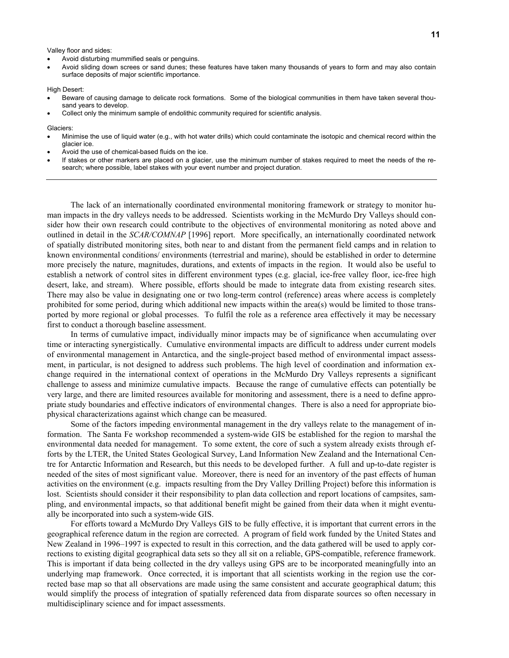Valley floor and sides:

- Avoid disturbing mummified seals or penguins.
- Avoid sliding down screes or sand dunes; these features have taken many thousands of years to form and may also contain surface deposits of major scientific importance.

High Desert:

- Beware of causing damage to delicate rock formations. Some of the biological communities in them have taken several thousand years to develop.
- Collect only the minimum sample of endolithic community required for scientific analysis.

Glaciers:

- Minimise the use of liquid water (e.g., with hot water drills) which could contaminate the isotopic and chemical record within the glacier ice.
- Avoid the use of chemical-based fluids on the ice.
- If stakes or other markers are placed on a glacier, use the minimum number of stakes required to meet the needs of the research; where possible, label stakes with your event number and project duration.

The lack of an internationally coordinated environmental monitoring framework or strategy to monitor human impacts in the dry valleys needs to be addressed. Scientists working in the McMurdo Dry Valleys should consider how their own research could contribute to the objectives of environmental monitoring as noted above and outlined in detail in the *SCAR/COMNAP* [1996] report. More specifically, an internationally coordinated network of spatially distributed monitoring sites, both near to and distant from the permanent field camps and in relation to known environmental conditions/ environments (terrestrial and marine), should be established in order to determine more precisely the nature, magnitudes, durations, and extents of impacts in the region. It would also be useful to establish a network of control sites in different environment types (e.g. glacial, ice-free valley floor, ice-free high desert, lake, and stream). Where possible, efforts should be made to integrate data from existing research sites. There may also be value in designating one or two long-term control (reference) areas where access is completely prohibited for some period, during which additional new impacts within the area(s) would be limited to those transported by more regional or global processes. To fulfil the role as a reference area effectively it may be necessary first to conduct a thorough baseline assessment.

In terms of cumulative impact, individually minor impacts may be of significance when accumulating over time or interacting synergistically. Cumulative environmental impacts are difficult to address under current models of environmental management in Antarctica, and the single-project based method of environmental impact assessment, in particular, is not designed to address such problems. The high level of coordination and information exchange required in the international context of operations in the McMurdo Dry Valleys represents a significant challenge to assess and minimize cumulative impacts. Because the range of cumulative effects can potentially be very large, and there are limited resources available for monitoring and assessment, there is a need to define appropriate study boundaries and effective indicators of environmental changes. There is also a need for appropriate biophysical characterizations against which change can be measured.

Some of the factors impeding environmental management in the dry valleys relate to the management of information. The Santa Fe workshop recommended a system-wide GIS be established for the region to marshal the environmental data needed for management. To some extent, the core of such a system already exists through efforts by the LTER, the United States Geological Survey, Land Information New Zealand and the International Centre for Antarctic Information and Research, but this needs to be developed further. A full and up-to-date register is needed of the sites of most significant value. Moreover, there is need for an inventory of the past effects of human activities on the environment (e.g. impacts resulting from the Dry Valley Drilling Project) before this information is lost. Scientists should consider it their responsibility to plan data collection and report locations of campsites, sampling, and environmental impacts, so that additional benefit might be gained from their data when it might eventually be incorporated into such a system-wide GIS.

For efforts toward a McMurdo Dry Valleys GIS to be fully effective, it is important that current errors in the geographical reference datum in the region are corrected. A program of field work funded by the United States and New Zealand in 1996–1997 is expected to result in this correction, and the data gathered will be used to apply corrections to existing digital geographical data sets so they all sit on a reliable, GPS-compatible, reference framework. This is important if data being collected in the dry valleys using GPS are to be incorporated meaningfully into an underlying map framework. Once corrected, it is important that all scientists working in the region use the corrected base map so that all observations are made using the same consistent and accurate geographical datum; this would simplify the process of integration of spatially referenced data from disparate sources so often necessary in multidisciplinary science and for impact assessments.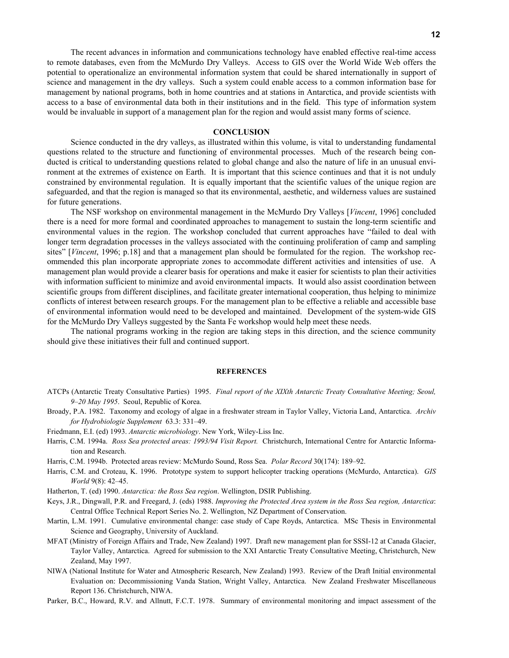The recent advances in information and communications technology have enabled effective real-time access to remote databases, even from the McMurdo Dry Valleys. Access to GIS over the World Wide Web offers the potential to operationalize an environmental information system that could be shared internationally in support of science and management in the dry valleys. Such a system could enable access to a common information base for management by national programs, both in home countries and at stations in Antarctica, and provide scientists with access to a base of environmental data both in their institutions and in the field. This type of information system would be invaluable in support of a management plan for the region and would assist many forms of science.

# **CONCLUSION**

Science conducted in the dry valleys, as illustrated within this volume, is vital to understanding fundamental questions related to the structure and functioning of environmental processes. Much of the research being conducted is critical to understanding questions related to global change and also the nature of life in an unusual environment at the extremes of existence on Earth. It is important that this science continues and that it is not unduly constrained by environmental regulation. It is equally important that the scientific values of the unique region are safeguarded, and that the region is managed so that its environmental, aesthetic, and wilderness values are sustained for future generations.

The NSF workshop on environmental management in the McMurdo Dry Valleys [*Vincent*, 1996] concluded there is a need for more formal and coordinated approaches to management to sustain the long-term scientific and environmental values in the region. The workshop concluded that current approaches have "failed to deal with longer term degradation processes in the valleys associated with the continuing proliferation of camp and sampling sites" [*Vincent*, 1996; p.18] and that a management plan should be formulated for the region. The workshop recommended this plan incorporate appropriate zones to accommodate different activities and intensities of use. A management plan would provide a clearer basis for operations and make it easier for scientists to plan their activities with information sufficient to minimize and avoid environmental impacts. It would also assist coordination between scientific groups from different disciplines, and facilitate greater international cooperation, thus helping to minimize conflicts of interest between research groups. For the management plan to be effective a reliable and accessible base of environmental information would need to be developed and maintained. Development of the system-wide GIS for the McMurdo Dry Valleys suggested by the Santa Fe workshop would help meet these needs.

The national programs working in the region are taking steps in this direction, and the science community should give these initiatives their full and continued support.

#### **REFERENCES**

- ATCPs (Antarctic Treaty Consultative Parties) 1995. *Final report of the XIXth Antarctic Treaty Consultative Meeting; Seoul, 9–20 May 1995*. Seoul, Republic of Korea.
- Broady, P.A. 1982. Taxonomy and ecology of algae in a freshwater stream in Taylor Valley, Victoria Land, Antarctica. *Archiv for Hydrobiologie Supplement* 63.3: 331–49.
- Friedmann, E.I. (ed) 1993. *Antarctic microbiology*. New York, Wiley-Liss Inc.
- Harris, C.M. 1994a. *Ross Sea protected areas: 1993/94 Visit Report.* Christchurch, International Centre for Antarctic Information and Research.
- Harris, C.M. 1994b. Protected areas review: McMurdo Sound, Ross Sea. *Polar Record* 30(174): 189–92.
- Harris, C.M. and Croteau, K. 1996. Prototype system to support helicopter tracking operations (McMurdo, Antarctica). *GIS World* 9(8): 42–45.
- Hatherton, T. (ed) 1990. *Antarctica: the Ross Sea region*. Wellington, DSIR Publishing.
- Keys, J.R., Dingwall, P.R. and Freegard, J. (eds) 1988. *Improving the Protected Area system in the Ross Sea region, Antarctica*: Central Office Technical Report Series No. 2. Wellington, NZ Department of Conservation.
- Martin, L.M. 1991. Cumulative environmental change: case study of Cape Royds, Antarctica. MSc Thesis in Environmental Science and Geography, University of Auckland.
- MFAT (Ministry of Foreign Affairs and Trade, New Zealand) 1997. Draft new management plan for SSSI-12 at Canada Glacier, Taylor Valley, Antarctica. Agreed for submission to the XXI Antarctic Treaty Consultative Meeting, Christchurch, New Zealand, May 1997.
- NIWA (National Institute for Water and Atmospheric Research, New Zealand) 1993. Review of the Draft Initial environmental Evaluation on: Decommissioning Vanda Station, Wright Valley, Antarctica. New Zealand Freshwater Miscellaneous Report 136. Christchurch, NIWA.
- Parker, B.C., Howard, R.V. and Allnutt, F.C.T. 1978. Summary of environmental monitoring and impact assessment of the